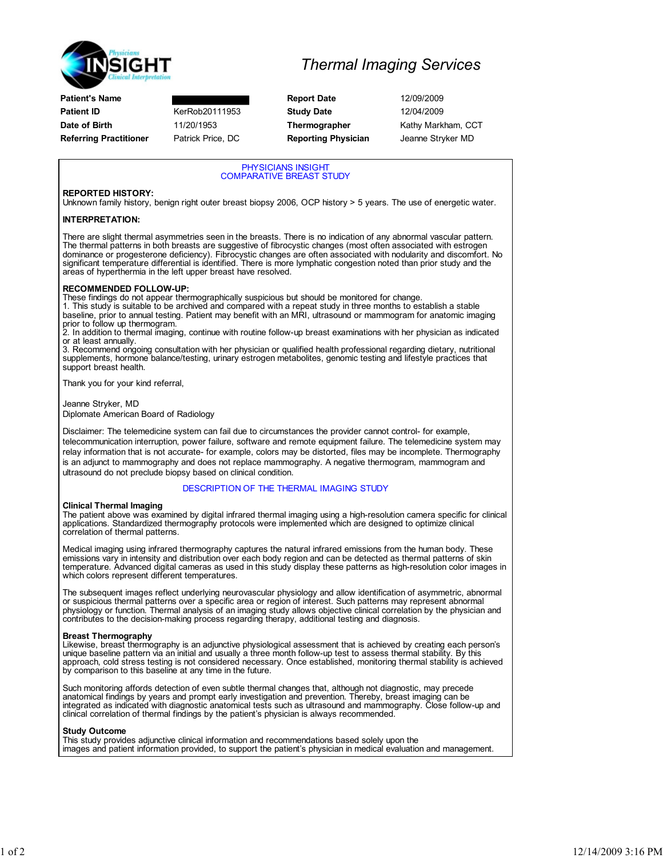

Patient's Name **Report Date** 12/09/2009 **Patient ID KerRob20111953 Study Date** 12/04/2009 Date of Birth 11/20/1953 Thermographer Kathy Markham, CCT Referring Practitioner Patrick Price, DC Reporting Physician Jeanne Stryker MD

## Thermal Imaging Services

PHYSICIANS INSIGHT COMPARATIVE BREAST STUDY

### REPORTED HISTORY:

Unknown family history, benign right outer breast biopsy 2006, OCP history > 5 years. The use of energetic water.

### INTERPRETATION:

There are slight thermal asymmetries seen in the breasts. There is no indication of any abnormal vascular pattern.<br>The thermal patterns in both breasts are suggestive of fibrocystic changes (most often associated with estr dominance or progesterone deficiency). Fibrocystic changes are often associated with nodularity and discomfort. No significant temperature differential is identified. There is more lymphatic congestion noted than prior study and the areas of hyperthermia in the left upper breast have resolved.

#### RECOMMENDED FOLLOW-UP:

These findings do not appear thermographically suspicious but should be monitored for change.

1. This study is suitable to be archived and compared with a repeat study in three months to establish a stable baseline, prior to annual testing. Patient may benefit with an MRI, ultrasound or mammogram for anatomic imaging prior to follow up thermogram.

2. In addition to thermal imaging, continue with routine follow-up breast examinations with her physician as indicated

or at least annually. 3. Recommend ongoing consultation with her physician or qualified health professional regarding dietary, nutritional supplements, hormone balance/testing, urinary estrogen metabolites, genomic testing and lifestyle practices that support breast health.

Thank you for your kind referral,

Jeanne Stryker, MD

Diplomate American Board of Radiology

Disclaimer: The telemedicine system can fail due to circumstances the provider cannot control- for example, telecommunication interruption, power failure, software and remote equipment failure. The telemedicine system may relay information that is not accurate- for example, colors may be distorted, files may be incomplete. Thermography is an adjunct to mammography and does not replace mammography. A negative thermogram, mammogram and ultrasound do not preclude biopsy based on clinical condition.

#### DESCRIPTION OF THE THERMAL IMAGING STUDY

#### Clinical Thermal Imaging

The patient above was examined by digital infrared thermal imaging using a high-resolution camera specific for clinical applications. Standardized thermography protocols were implemented which are designed to optimize clinical correlation of thermal patterns.

Medical imaging using infrared thermography captures the natural infrared emissions from the human body. These emissions vary in intensity and distribution over each body region and can be detected as thermal patterns of skin<br>temperature. Advanced digital cameras as used in this study display these patterns as high-resolution color which colors represent different temperatures.

The subsequent images reflect underlying neurovascular physiology and allow identification of asymmetric, abnormal or suspicious thermal patterns over a specific area or region of interest. Such patterns may represent abnormal physiology or function. Thermal analysis of an imaging study allows objective clinical correlation by the physician and contributes to the decision-making process regarding therapy, additional testing and diagnosis.

#### Breast Thermography

Likewise, breast thermography is an adjunctive physiological assessment that is achieved by creating each person's unique baseline pattern via an initial and usually a three month follow-up test to assess thermal stability. By this approach, cold stress testing is not considered necessary. Once established, monitoring thermal stability is achieved by comparison to this baseline at any time in the future.

Such monitoring affords detection of even subtle thermal changes that, although not diagnostic, may precede anatomical findings by years and prompt early investigation and prevention. Thereby, breast imaging can be integrated as indicated with diagnostic anatomical tests such as ultrasound and mammography. Close follow-up and clinical correlation of thermal findings by the patient's physician is always recommended.

#### Study Outcome

This study provides adjunctive clinical information and recommendations based solely upon the images and patient information provided, to support the patient's physician in medical evaluation and management.